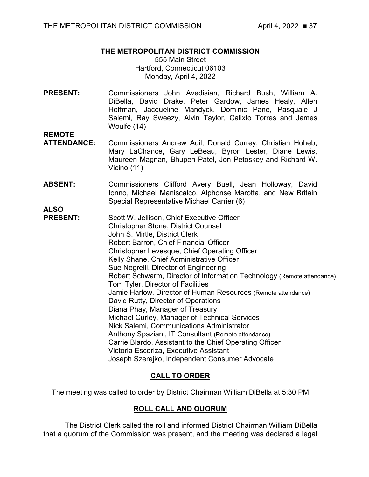### **THE METROPOLITAN DISTRICT COMMISSION**

### 555 Main Street Hartford, Connecticut 06103 Monday, April 4, 2022

**PRESENT:** Commissioners John Avedisian, Richard Bush, William A. DiBella, David Drake, Peter Gardow, James Healy, Allen Hoffman, Jacqueline Mandyck, Dominic Pane, Pasquale J Salemi, Ray Sweezy, Alvin Taylor, Calixto Torres and James Woulfe (14)

**REMOTE** 

- **ATTENDANCE:** Commissioners Andrew Adil, Donald Currey, Christian Hoheb, Mary LaChance, Gary LeBeau, Byron Lester, Diane Lewis, Maureen Magnan, Bhupen Patel, Jon Petoskey and Richard W. Vicino (11)
- **ABSENT:** Commissioners Clifford Avery Buell, Jean Holloway, David Ionno, Michael Maniscalco, Alphonse Marotta, and New Britain Special Representative Michael Carrier (6)

**ALSO**

**PRESENT:** Scott W. Jellison, Chief Executive Officer Christopher Stone, District Counsel John S. Mirtle, District Clerk Robert Barron, Chief Financial Officer Christopher Levesque, Chief Operating Officer Kelly Shane, Chief Administrative Officer Sue Negrelli, Director of Engineering Robert Schwarm, Director of Information Technology (Remote attendance) Tom Tyler, Director of Facilities Jamie Harlow, Director of Human Resources (Remote attendance) David Rutty, Director of Operations Diana Phay, Manager of Treasury Michael Curley, Manager of Technical Services Nick Salemi, Communications Administrator Anthony Spaziani, IT Consultant (Remote attendance) Carrie Blardo, Assistant to the Chief Operating Officer Victoria Escoriza, Executive Assistant Joseph Szerejko, Independent Consumer Advocate

# **CALL TO ORDER**

The meeting was called to order by District Chairman William DiBella at 5:30 PM

# **ROLL CALL AND QUORUM**

The District Clerk called the roll and informed District Chairman William DiBella that a quorum of the Commission was present, and the meeting was declared a legal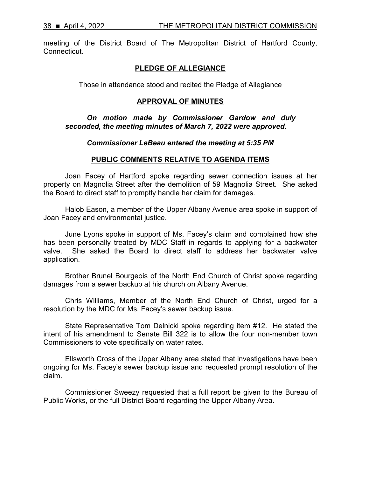meeting of the District Board of The Metropolitan District of Hartford County, Connecticut.

# **PLEDGE OF ALLEGIANCE**

Those in attendance stood and recited the Pledge of Allegiance

## **APPROVAL OF MINUTES**

*On motion made by Commissioner Gardow and duly seconded, the meeting minutes of March 7, 2022 were approved.* 

### *Commissioner LeBeau entered the meeting at 5:35 PM*

### **PUBLIC COMMENTS RELATIVE TO AGENDA ITEMS**

Joan Facey of Hartford spoke regarding sewer connection issues at her property on Magnolia Street after the demolition of 59 Magnolia Street. She asked the Board to direct staff to promptly handle her claim for damages.

Halob Eason, a member of the Upper Albany Avenue area spoke in support of Joan Facey and environmental justice.

June Lyons spoke in support of Ms. Facey's claim and complained how she has been personally treated by MDC Staff in regards to applying for a backwater valve. She asked the Board to direct staff to address her backwater valve application.

Brother Brunel Bourgeois of the North End Church of Christ spoke regarding damages from a sewer backup at his church on Albany Avenue.

Chris Williams, Member of the North End Church of Christ, urged for a resolution by the MDC for Ms. Facey's sewer backup issue.

State Representative Tom Delnicki spoke regarding item #12. He stated the intent of his amendment to Senate Bill 322 is to allow the four non-member town Commissioners to vote specifically on water rates.

Ellsworth Cross of the Upper Albany area stated that investigations have been ongoing for Ms. Facey's sewer backup issue and requested prompt resolution of the claim.

Commissioner Sweezy requested that a full report be given to the Bureau of Public Works, or the full District Board regarding the Upper Albany Area.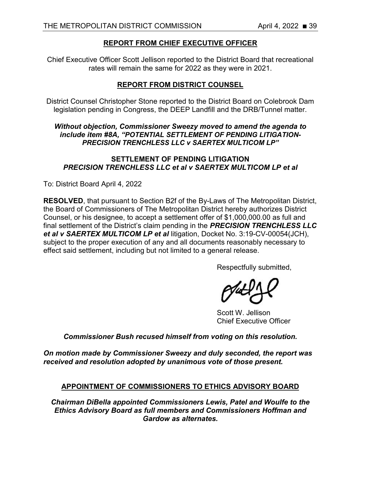# **REPORT FROM CHIEF EXECUTIVE OFFICER**

Chief Executive Officer Scott Jellison reported to the District Board that recreational rates will remain the same for 2022 as they were in 2021.

# **REPORT FROM DISTRICT COUNSEL**

District Counsel Christopher Stone reported to the District Board on Colebrook Dam legislation pending in Congress, the DEEP Landfill and the DRB/Tunnel matter.

### *Without objection, Commissioner Sweezy moved to amend the agenda to include item #8A, "POTENTIAL SETTLEMENT OF PENDING LITIGATION-PRECISION TRENCHLESS LLC v SAERTEX MULTICOM LP"*

# **SETTLEMENT OF PENDING LITIGATION** *PRECISION TRENCHLESS LLC et al v SAERTEX MULTICOM LP et al*

To: District Board April 4, 2022

**RESOLVED**, that pursuant to Section B2f of the By-Laws of The Metropolitan District, the Board of Commissioners of The Metropolitan District hereby authorizes District Counsel, or his designee, to accept a settlement offer of \$1,000,000.00 as full and final settlement of the District's claim pending in the *PRECISION TRENCHLESS LLC et al v SAERTEX MULTICOM LP et al* litigation, Docket No. 3:19-CV-00054(JCH), subject to the proper execution of any and all documents reasonably necessary to effect said settlement, including but not limited to a general release.

Respectfully submitted,

Scott W. Jellison Chief Executive Officer

*Commissioner Bush recused himself from voting on this resolution.* 

*On motion made by Commissioner Sweezy and duly seconded, the report was received and resolution adopted by unanimous vote of those present.*

# **APPOINTMENT OF COMMISSIONERS TO ETHICS ADVISORY BOARD**

*Chairman DiBella appointed Commissioners Lewis, Patel and Woulfe to the Ethics Advisory Board as full members and Commissioners Hoffman and Gardow as alternates.*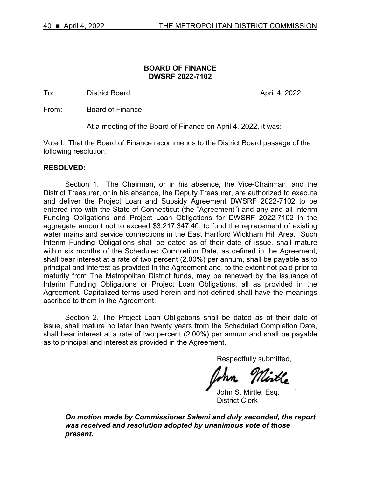#### **BOARD OF FINANCE DWSRF 2022-7102**

To: District Board **April 4, 2022** 

From: Board of Finance

At a meeting of the Board of Finance on April 4, 2022, it was:

Voted: That the Board of Finance recommends to the District Board passage of the following resolution:

### **RESOLVED:**

Section 1. The Chairman, or in his absence, the Vice-Chairman, and the District Treasurer, or in his absence, the Deputy Treasurer, are authorized to execute and deliver the Project Loan and Subsidy Agreement DWSRF 2022-7102 to be entered into with the State of Connecticut (the "Agreement") and any and all Interim Funding Obligations and Project Loan Obligations for DWSRF 2022-7102 in the aggregate amount not to exceed \$3,217,347.40, to fund the replacement of existing water mains and service connections in the East Hartford Wickham Hill Area. Such Interim Funding Obligations shall be dated as of their date of issue, shall mature within six months of the Scheduled Completion Date, as defined in the Agreement, shall bear interest at a rate of two percent (2.00%) per annum, shall be payable as to principal and interest as provided in the Agreement and, to the extent not paid prior to maturity from The Metropolitan District funds, may be renewed by the issuance of Interim Funding Obligations or Project Loan Obligations, all as provided in the Agreement. Capitalized terms used herein and not defined shall have the meanings ascribed to them in the Agreement.

Section 2. The Project Loan Obligations shall be dated as of their date of issue, shall mature no later than twenty years from the Scheduled Completion Date, shall bear interest at a rate of two percent (2.00%) per annum and shall be payable as to principal and interest as provided in the Agreement.

Respectfully submitted,

John S. Mirtle, Esq. District Clerk

*On motion made by Commissioner Salemi and duly seconded, the report was received and resolution adopted by unanimous vote of those present.*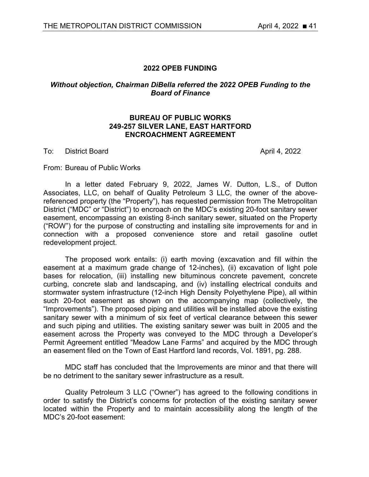# **2022 OPEB FUNDING**

# *Without objection, Chairman DiBella referred the 2022 OPEB Funding to the Board of Finance*

### **BUREAU OF PUBLIC WORKS 249-257 SILVER LANE, EAST HARTFORD ENCROACHMENT AGREEMENT**

To: District Board April 4, 2022

From: Bureau of Public Works

In a letter dated February 9, 2022, James W. Dutton, L.S., of Dutton Associates, LLC, on behalf of Quality Petroleum 3 LLC, the owner of the abovereferenced property (the "Property"), has requested permission from The Metropolitan District ("MDC" or "District") to encroach on the MDC's existing 20-foot sanitary sewer easement, encompassing an existing 8-inch sanitary sewer, situated on the Property ("ROW") for the purpose of constructing and installing site improvements for and in connection with a proposed convenience store and retail gasoline outlet redevelopment project.

The proposed work entails: (i) earth moving (excavation and fill within the easement at a maximum grade change of 12-inches), (ii) excavation of light pole bases for relocation, (iii) installing new bituminous concrete pavement, concrete curbing, concrete slab and landscaping, and (iv) installing electrical conduits and stormwater system infrastructure (12-inch High Density Polyethylene Pipe), all within such 20-foot easement as shown on the accompanying map (collectively, the "Improvements"). The proposed piping and utilities will be installed above the existing sanitary sewer with a minimum of six feet of vertical clearance between this sewer and such piping and utilities. The existing sanitary sewer was built in 2005 and the easement across the Property was conveyed to the MDC through a Developer's Permit Agreement entitled "Meadow Lane Farms" and acquired by the MDC through an easement filed on the Town of East Hartford land records, Vol. 1891, pg. 288.

MDC staff has concluded that the Improvements are minor and that there will be no detriment to the sanitary sewer infrastructure as a result.

Quality Petroleum 3 LLC ("Owner") has agreed to the following conditions in order to satisfy the District's concerns for protection of the existing sanitary sewer located within the Property and to maintain accessibility along the length of the MDC's 20-foot easement: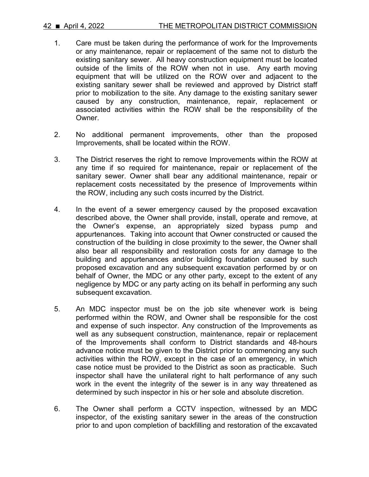- 1. Care must be taken during the performance of work for the Improvements or any maintenance, repair or replacement of the same not to disturb the existing sanitary sewer. All heavy construction equipment must be located outside of the limits of the ROW when not in use. Any earth moving equipment that will be utilized on the ROW over and adjacent to the existing sanitary sewer shall be reviewed and approved by District staff prior to mobilization to the site. Any damage to the existing sanitary sewer caused by any construction, maintenance, repair, replacement or associated activities within the ROW shall be the responsibility of the Owner.
- 2. No additional permanent improvements, other than the proposed Improvements, shall be located within the ROW.
- 3. The District reserves the right to remove Improvements within the ROW at any time if so required for maintenance, repair or replacement of the sanitary sewer. Owner shall bear any additional maintenance, repair or replacement costs necessitated by the presence of Improvements within the ROW, including any such costs incurred by the District.
- 4. In the event of a sewer emergency caused by the proposed excavation described above, the Owner shall provide, install, operate and remove, at the Owner's expense, an appropriately sized bypass pump and appurtenances. Taking into account that Owner constructed or caused the construction of the building in close proximity to the sewer, the Owner shall also bear all responsibility and restoration costs for any damage to the building and appurtenances and/or building foundation caused by such proposed excavation and any subsequent excavation performed by or on behalf of Owner, the MDC or any other party, except to the extent of any negligence by MDC or any party acting on its behalf in performing any such subsequent excavation.
- 5. An MDC inspector must be on the job site whenever work is being performed within the ROW, and Owner shall be responsible for the cost and expense of such inspector. Any construction of the Improvements as well as any subsequent construction, maintenance, repair or replacement of the Improvements shall conform to District standards and 48-hours advance notice must be given to the District prior to commencing any such activities within the ROW, except in the case of an emergency, in which case notice must be provided to the District as soon as practicable. Such inspector shall have the unilateral right to halt performance of any such work in the event the integrity of the sewer is in any way threatened as determined by such inspector in his or her sole and absolute discretion.
- 6. The Owner shall perform a CCTV inspection, witnessed by an MDC inspector, of the existing sanitary sewer in the areas of the construction prior to and upon completion of backfilling and restoration of the excavated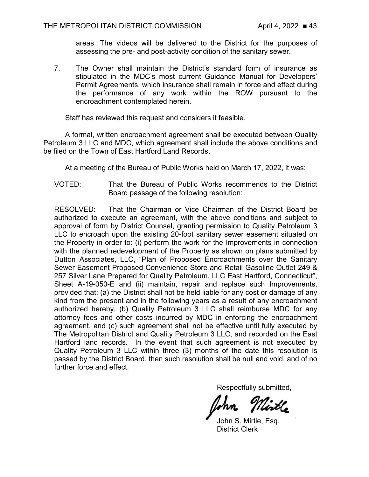areas. The videos will be delivered to the District for the purposes of assessing the pre- and post-activity condition of the sanitary sewer.

7. The Owner shall maintain the District's standard form of insurance as stipulated in the MDC's most current Guidance Manual for Developers' Permit Agreements, which insurance shall remain in force and effect during the performance of any work within the ROW pursuant to the encroachment contemplated herein.

Staff has reviewed this request and considers it feasible.

A formal, written encroachment agreement shall be executed between Quality Petroleum 3 LLC and MDC, which agreement shall include the above conditions and be filed on the Town of East Hartford Land Records.

At a meeting of the Bureau of Public Works held on March 17, 2022, it was:

VOTED: That the Bureau of Public Works recommends to the District Board passage of the following resolution:

RESOLVED: That the Chairman or Vice Chairman of the District Board be authorized to execute an agreement, with the above conditions and subject to approval of form by District Counsel, granting permission to Quality Petroleum 3 LLC to encroach upon the existing 20-foot sanitary sewer easement situated on the Property in order to: (i) perform the work for the Improvements in connection with the planned redevelopment of the Property as shown on plans submitted by Dutton Associates, LLC, "Plan of Proposed Encroachments over the Sanitary Sewer Easement Proposed Convenience Store and Retail Gasoline Outlet 249 & 257 Silver Lane Prepared for Quality Petroleum, LLC East Hartford, Connecticut", Sheet A-19-050-E and (ii) maintain, repair and replace such Improvements, provided that: (a) the District shall not be held liable for any cost or damage of any kind from the present and in the following years as a result of any encroachment authorized hereby, (b) Quality Petroleum 3 LLC shall reimburse MDC for any attorney fees and other costs incurred by MDC in enforcing the encroachment agreement, and (c) such agreement shall not be effective until fully executed by The Metropolitan District and Quality Petroleum 3 LLC, and recorded on the East Hartford land records. In the event that such agreement is not executed by Quality Petroleum 3 LLC within three (3) months of the date this resolution is passed by the District Board, then such resolution shall be null and void, and of no further force and effect.

Respectfully submitted,

John S. Mirtle, Esq. District Clerk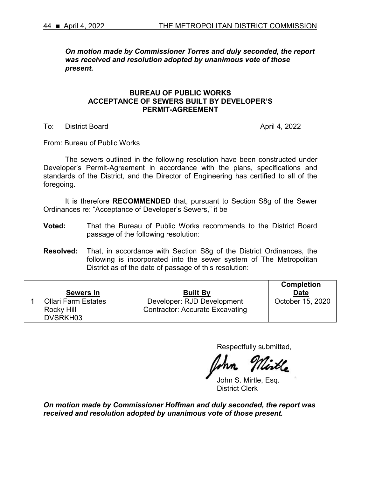*On motion made by Commissioner Torres and duly seconded, the report was received and resolution adopted by unanimous vote of those present.*

#### **BUREAU OF PUBLIC WORKS ACCEPTANCE OF SEWERS BUILT BY DEVELOPER'S PERMIT-AGREEMENT**

To: District Board April 4, 2022

From: Bureau of Public Works

The sewers outlined in the following resolution have been constructed under Developer's Permit-Agreement in accordance with the plans, specifications and standards of the District, and the Director of Engineering has certified to all of the foregoing.

It is therefore **RECOMMENDED** that, pursuant to Section S8g of the Sewer Ordinances re: "Acceptance of Developer's Sewers," it be

- **Voted:** That the Bureau of Public Works recommends to the District Board passage of the following resolution:
- **Resolved:** That, in accordance with Section S8g of the District Ordinances, the following is incorporated into the sewer system of The Metropolitan District as of the date of passage of this resolution:

| <b>Sewers In</b>                         | <b>Built By</b>                                                      | <b>Completion</b><br>Date |
|------------------------------------------|----------------------------------------------------------------------|---------------------------|
| <b>Ollari Farm Estates</b><br>Rocky Hill | Developer: RJD Development<br><b>Contractor: Accurate Excavating</b> | October 15, 2020          |
| DVSRKH03                                 |                                                                      |                           |

Respectfully submitted,

John S. Mirtle, Esq. District Clerk

*On motion made by Commissioner Hoffman and duly seconded, the report was received and resolution adopted by unanimous vote of those present.*